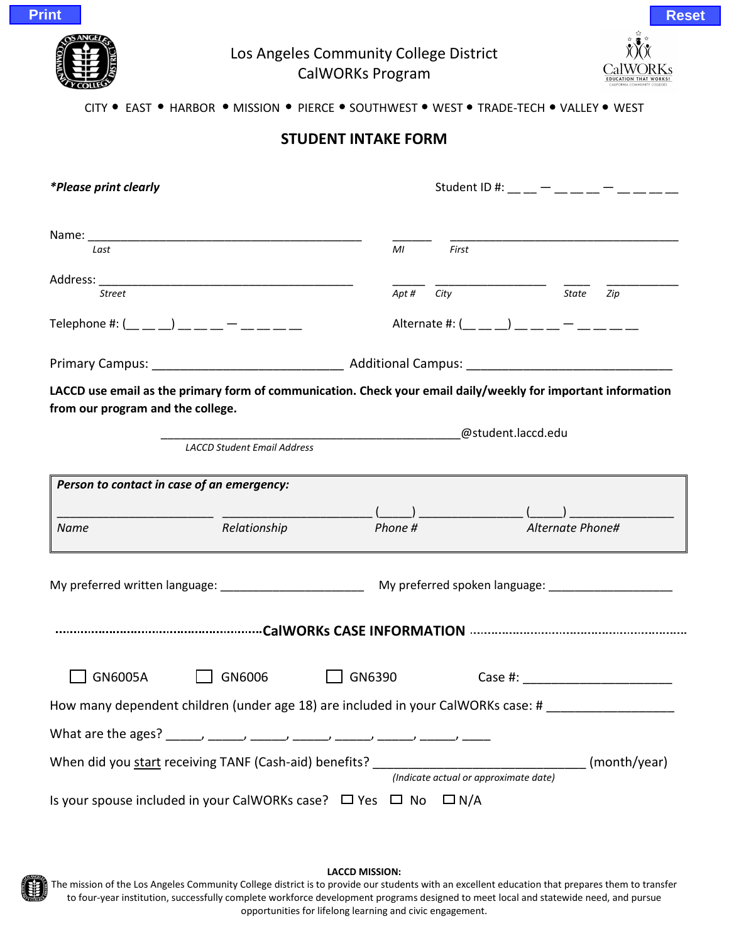

# Los Angeles Community College District CalWORKs Program



## CITY . EAST . HARBOR . MISSION . PIERCE . SOUTHWEST . WEST . TRADE-TECH . VALLEY . WEST

## **STUDENT INTAKE FORM**

| <i>*Please print clearly</i>                                                                                                                       | Student ID #: _ _ _ - _ _ _ - _ _ - _ _ _                                                                                                                                                                                      |  |  |
|----------------------------------------------------------------------------------------------------------------------------------------------------|--------------------------------------------------------------------------------------------------------------------------------------------------------------------------------------------------------------------------------|--|--|
| Last                                                                                                                                               | First<br>MI                                                                                                                                                                                                                    |  |  |
| <b>Street</b>                                                                                                                                      | Apt #<br>City<br>State<br>Zip                                                                                                                                                                                                  |  |  |
| Telephone #: $(\_ \_ \_ \_ )$ $(\_ \_ \_ \_ \_ \_ \_ \_ \_ \_ \_$                                                                                  | Alternate #: $($ <sub>___</sub> __) __ _ _ <sup>_</sup> _ _ _                                                                                                                                                                  |  |  |
|                                                                                                                                                    |                                                                                                                                                                                                                                |  |  |
| LACCD use email as the primary form of communication. Check your email daily/weekly for important information<br>from our program and the college. |                                                                                                                                                                                                                                |  |  |
|                                                                                                                                                    | @student.laccd.edu                                                                                                                                                                                                             |  |  |
| <b>LACCD Student Email Address</b>                                                                                                                 |                                                                                                                                                                                                                                |  |  |
| Person to contact in case of an emergency:                                                                                                         |                                                                                                                                                                                                                                |  |  |
| Relationship<br><b>Name</b>                                                                                                                        | $\frac{(\underline{\hspace{1cm}})}{\underline{\hspace{1cm}}}$ Phone # $\phantom{\hspace{1cm}}$ Alternate Phone#                                                                                                                |  |  |
|                                                                                                                                                    |                                                                                                                                                                                                                                |  |  |
|                                                                                                                                                    |                                                                                                                                                                                                                                |  |  |
| GN6005A<br>GN6390<br>GN6006                                                                                                                        | Case #: the contract of the contract of the contract of the contract of the contract of the contract of the contract of the contract of the contract of the contract of the contract of the contract of the contract of the co |  |  |
| How many dependent children (under age 18) are included in your CalWORKs case: #                                                                   |                                                                                                                                                                                                                                |  |  |
|                                                                                                                                                    |                                                                                                                                                                                                                                |  |  |
|                                                                                                                                                    |                                                                                                                                                                                                                                |  |  |
| Is your spouse included in your CalWORKs case? □ Yes □ No □ N/A                                                                                    |                                                                                                                                                                                                                                |  |  |

**LACCD MISSION:**

The mission of the Los Angeles Community College district is to provide our students with an excellent education that prepares them to transfer to four-year institution, successfully complete workforce development programs designed to meet local and statewide need, and pursue opportunities for lifelong learning and civic engagement.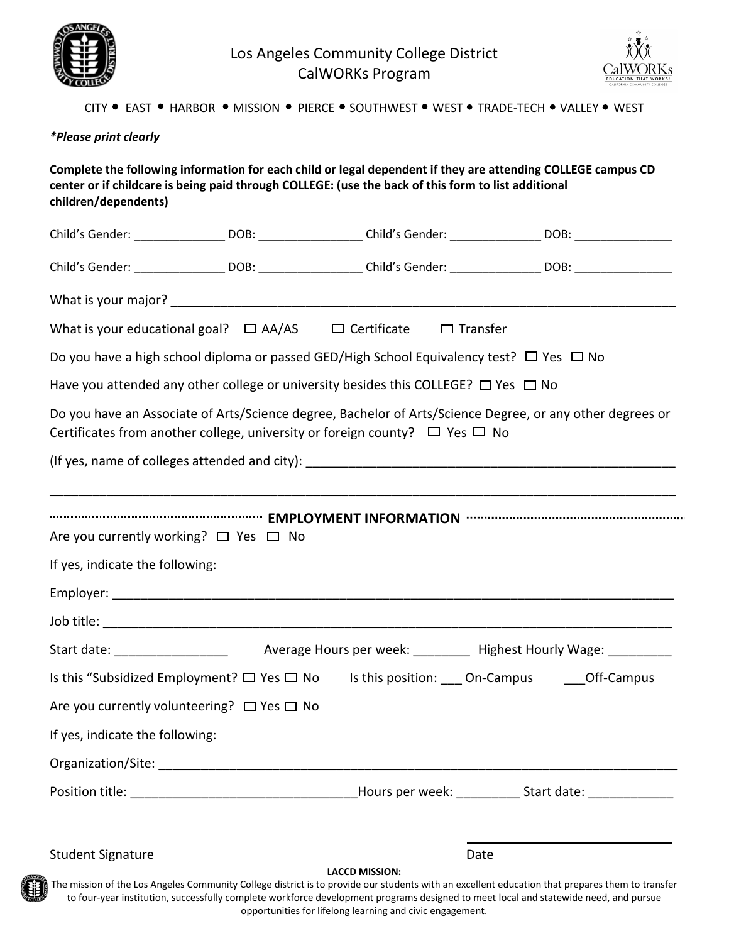

Los Angeles Community College District CalWORKs Program



ä.

#### CITY . EAST . HARBOR . MISSION . PIERCE . SOUTHWEST . WEST . TRADE-TECH . VALLEY . WEST

#### *\*Please print clearly*

**Complete the following information for each child or legal dependent if they are attending COLLEGE campus CD center or if childcare is being paid through COLLEGE: (use the back of this form to list additional children/dependents)**

|                                                                                              |  |                                                                                                    | Child's Gender: __________________DOB: __________________Child's Gender: _______________DOB: _________________ |  |
|----------------------------------------------------------------------------------------------|--|----------------------------------------------------------------------------------------------------|----------------------------------------------------------------------------------------------------------------|--|
|                                                                                              |  |                                                                                                    | Child's Gender: __________________DOB: ___________________Child's Gender: ________________DOB: _______________ |  |
|                                                                                              |  |                                                                                                    |                                                                                                                |  |
|                                                                                              |  | What is your educational goal? $\Box$ AA/AS $\Box$ Certificate $\Box$ Transfer                     |                                                                                                                |  |
|                                                                                              |  | Do you have a high school diploma or passed GED/High School Equivalency test? $\Box$ Yes $\Box$ No |                                                                                                                |  |
| Have you attended any other college or university besides this COLLEGE? $\Box$ Yes $\Box$ No |  |                                                                                                    |                                                                                                                |  |
|                                                                                              |  | Certificates from another college, university or foreign county? $\Box$ Yes $\Box$ No              | Do you have an Associate of Arts/Science degree, Bachelor of Arts/Science Degree, or any other degrees or      |  |
|                                                                                              |  |                                                                                                    |                                                                                                                |  |
|                                                                                              |  |                                                                                                    |                                                                                                                |  |
|                                                                                              |  |                                                                                                    |                                                                                                                |  |
| Are you currently working? □ Yes □ No                                                        |  |                                                                                                    |                                                                                                                |  |
| If yes, indicate the following:                                                              |  |                                                                                                    |                                                                                                                |  |
|                                                                                              |  |                                                                                                    |                                                                                                                |  |
|                                                                                              |  |                                                                                                    |                                                                                                                |  |
|                                                                                              |  |                                                                                                    |                                                                                                                |  |
|                                                                                              |  |                                                                                                    | Is this "Subsidized Employment? □ Yes □ No Is this position: ___ On-Campus ____ Off-Campus                     |  |
| Are you currently volunteering? $\Box$ Yes $\Box$ No                                         |  |                                                                                                    |                                                                                                                |  |
| If yes, indicate the following:                                                              |  |                                                                                                    |                                                                                                                |  |
|                                                                                              |  |                                                                                                    |                                                                                                                |  |
|                                                                                              |  |                                                                                                    |                                                                                                                |  |
|                                                                                              |  |                                                                                                    |                                                                                                                |  |

Student Signature Date Date Communications and Date Date

**LACCD MISSION:**

The mission of the Los Angeles Community College district is to provide our students with an excellent education that prepares them to transfer to four-year institution, successfully complete workforce development programs designed to meet local and statewide need, and pursue opportunities for lifelong learning and civic engagement.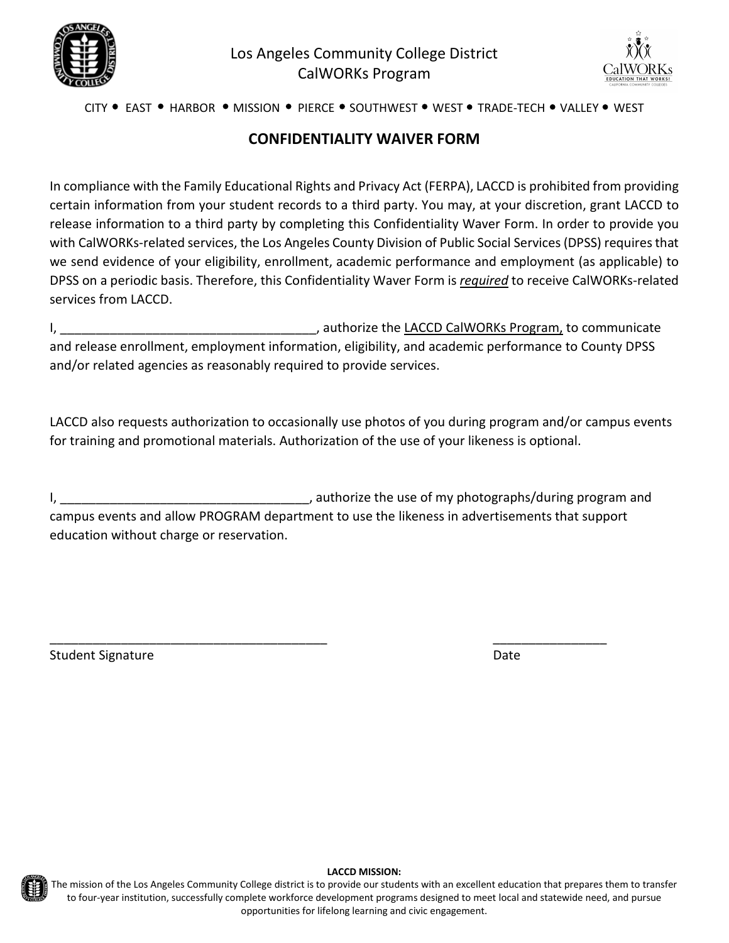



## CITY . EAST . HARBOR . MISSION . PIERCE . SOUTHWEST . WEST . TRADE-TECH . VALLEY . WEST

# **CONFIDENTIALITY WAIVER FORM**

In compliance with the Family Educational Rights and Privacy Act (FERPA), LACCD is prohibited from providing certain information from your student records to a third party. You may, at your discretion, grant LACCD to release information to a third party by completing this Confidentiality Waver Form. In order to provide you with CalWORKs-related services, the Los Angeles County Division of Public Social Services (DPSS) requires that we send evidence of your eligibility, enrollment, academic performance and employment (as applicable) to DPSS on a periodic basis. Therefore, this Confidentiality Waver Form is *required* to receive CalWORKs-related services from LACCD.

I, the communicate of the state of the LACCD CalWORKs Program, to communicate and release enrollment, employment information, eligibility, and academic performance to County DPSS and/or related agencies as reasonably required to provide services.

LACCD also requests authorization to occasionally use photos of you during program and/or campus events for training and promotional materials. Authorization of the use of your likeness is optional.

I, the use of my photographs/during program and intervals and the use of my photographs/during program and campus events and allow PROGRAM department to use the likeness in advertisements that support education without charge or reservation.

\_\_\_\_\_\_\_\_\_\_\_\_\_\_\_\_\_\_\_\_\_\_\_\_\_\_\_\_\_\_\_\_\_\_\_\_\_\_\_ \_\_\_\_\_\_\_\_\_\_\_\_\_\_\_\_

Student Signature Date Date of the Date of the Date Date Date Date of the Date Date of the Date of the Date of the Date of the Date of the Date of the Date of the Date of the Date of the Date of the Date of the Date of the



#### **LACCD MISSION:**

The mission of the Los Angeles Community College district is to provide our students with an excellent education that prepares them to transfer to four-year institution, successfully complete workforce development programs designed to meet local and statewide need, and pursue opportunities for lifelong learning and civic engagement.